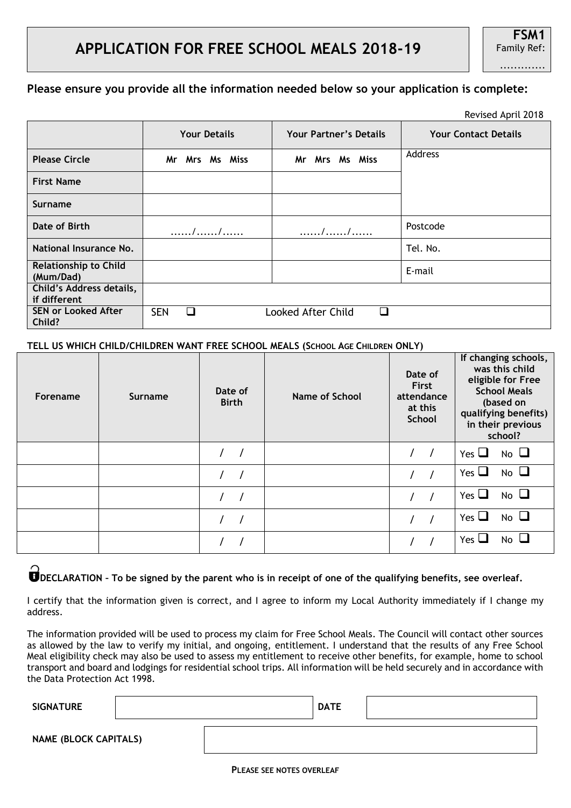|                                           |                     |                               | Revised April 2018          |
|-------------------------------------------|---------------------|-------------------------------|-----------------------------|
|                                           | <b>Your Details</b> | <b>Your Partner's Details</b> | <b>Your Contact Details</b> |
| <b>Please Circle</b>                      | Mr Mrs Ms Miss      | Mr Mrs Ms Miss                | Address                     |
| <b>First Name</b>                         |                     |                               |                             |
| <b>Surname</b>                            |                     |                               |                             |
| Date of Birth                             |                     |                               | Postcode                    |
| National Insurance No.                    |                     |                               | Tel. No.                    |
| <b>Relationship to Child</b><br>(Mum/Dad) |                     |                               | E-mail                      |
| Child's Address details,<br>if different  |                     |                               |                             |
| <b>SEN or Looked After</b><br>Child?      | <b>SEN</b><br>П     | Looked After Child            |                             |

#### **TELL US WHICH CHILD/CHILDREN WANT FREE SCHOOL MEALS (SCHOOL AGE CHILDREN ONLY)**

| Forename | Surname | Date of<br><b>Birth</b> | <b>Name of School</b> | Date of<br><b>First</b><br>attendance<br>at this<br><b>School</b> | If changing schools,<br>was this child<br>eligible for Free<br><b>School Meals</b><br>(based on<br>qualifying benefits)<br>in their previous<br>school? |
|----------|---------|-------------------------|-----------------------|-------------------------------------------------------------------|---------------------------------------------------------------------------------------------------------------------------------------------------------|
|          |         |                         |                       | $\sqrt{ }$<br>$\sqrt{ }$                                          | Yes $\Box$<br>$No$ $\Box$                                                                                                                               |
|          |         |                         |                       |                                                                   | $No$ $\Box$<br>Yes $\Box$                                                                                                                               |
|          |         |                         |                       |                                                                   | $No$ $\Box$<br>Yes $\Box$                                                                                                                               |
|          |         |                         |                       |                                                                   | $No$ $\Box$<br>Yes $\sqcup$                                                                                                                             |
|          |         |                         |                       |                                                                   | $No$ $\Box$<br>Yes $\Box$                                                                                                                               |

# **DECLARATION – To be signed by the parent who is in receipt of one of the qualifying benefits, see overleaf.**

I certify that the information given is correct, and I agree to inform my Local Authority immediately if I change my address.

The information provided will be used to process my claim for Free School Meals. The Council will contact other sources as allowed by the law to verify my initial, and ongoing, entitlement. I understand that the results of any Free School Meal eligibility check may also be used to assess my entitlement to receive other benefits, for example, home to school transport and board and lodgings for residential school trips. All information will be held securely and in accordance with the Data Protection Act 1998.

| <b>SIGNATURE</b>             |  | <b>DATE</b> |  |
|------------------------------|--|-------------|--|
| <b>NAME (BLOCK CAPITALS)</b> |  |             |  |

## Revised April 2018